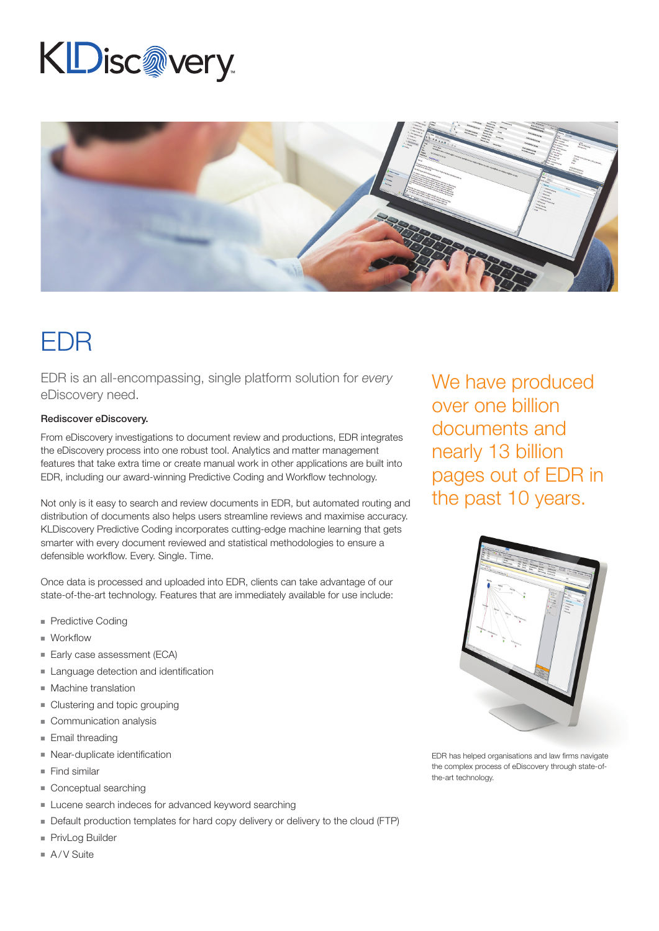# KDisc@very



### EDR

EDR is an all-encompassing, single platform solution for *every* eDiscovery need.

#### Rediscover eDiscovery.

From eDiscovery investigations to document review and productions, EDR integrates the eDiscovery process into one robust tool. Analytics and matter management features that take extra time or create manual work in other applications are built into EDR, including our award-winning Predictive Coding and Workflow technology.

Not only is it easy to search and review documents in EDR, but automated routing and distribution of documents also helps users streamline reviews and maximise accuracy. KLDiscovery Predictive Coding incorporates cutting-edge machine learning that gets smarter with every document reviewed and statistical methodologies to ensure a defensible workflow. Every. Single. Time.

Once data is processed and uploaded into EDR, clients can take advantage of our state-of-the-art technology. Features that are immediately available for use include:

- **Predictive Coding**
- $\blacksquare$  Workflow
- Early case assessment (ECA)
- Language detection and identification
- $M$  Machine translation
- $\blacksquare$  Clustering and topic grouping
- $\blacksquare$  Communication analysis
- $\blacksquare$  Email threading
- $\blacksquare$  Near-duplicate identification
- $\blacksquare$  Find similar
- $\blacksquare$  Conceptual searching
- Lucene search indeces for advanced keyword searching
- Default production templates for hard copy delivery or delivery to the cloud (FTP)
- PrivLog Builder
- $A/V$  Suite

We have produced over one billion documents and nearly 13 billion pages out of EDR in the past 10 years.



EDR has helped organisations and law firms navigate the complex process of eDiscovery through state-ofthe-art technology.